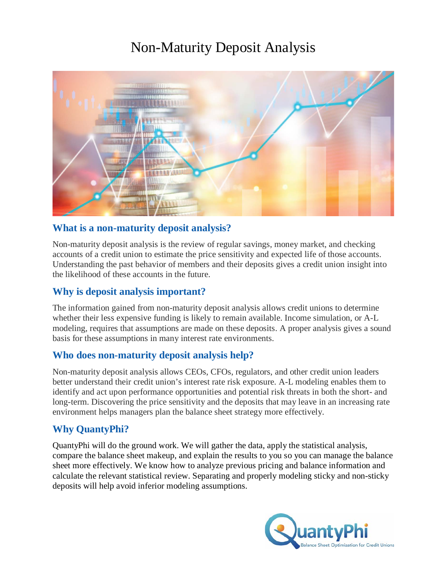## Non-Maturity Deposit Analysis



### **What is a non-maturity deposit analysis?**

Non-maturity deposit analysis is the review of regular savings, money market, and checking accounts of a credit union to estimate the price sensitivity and expected life of those accounts. Understanding the past behavior of members and their deposits gives a credit union insight into the likelihood of these accounts in the future.

#### **Why is deposit analysis important?**

The information gained from non-maturity deposit analysis allows credit unions to determine whether their less expensive funding is likely to remain available. Income simulation, or A-L modeling, requires that assumptions are made on these deposits. A proper analysis gives a sound basis for these assumptions in many interest rate environments.

#### **Who does non-maturity deposit analysis help?**

Non-maturity deposit analysis allows CEOs, CFOs, regulators, and other credit union leaders better understand their credit union's interest rate risk exposure. A-L modeling enables them to identify and act upon performance opportunities and potential risk threats in both the short- and long-term. Discovering the price sensitivity and the deposits that may leave in an increasing rate environment helps managers plan the balance sheet strategy more effectively.

## **Why QuantyPhi?**

QuantyPhi will do the ground work. We will gather the data, apply the statistical analysis, compare the balance sheet makeup, and explain the results to you so you can manage the balance sheet more effectively. We know how to analyze previous pricing and balance information and calculate the relevant statistical review. Separating and properly modeling sticky and non-sticky deposits will help avoid inferior modeling assumptions.

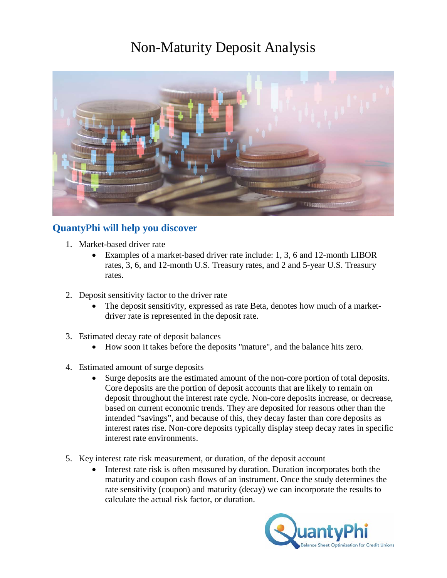# Non-Maturity Deposit Analysis



## **QuantyPhi will help you discover**

- 1. Market-based driver rate
	- Examples of a market-based driver rate include: 1, 3, 6 and 12-month LIBOR rates, 3, 6, and 12-month U.S. Treasury rates, and 2 and 5-year U.S. Treasury rates.
- 2. Deposit sensitivity factor to the driver rate
	- The deposit sensitivity, expressed as rate Beta, denotes how much of a marketdriver rate is represented in the deposit rate.
- 3. Estimated decay rate of deposit balances
	- How soon it takes before the deposits "mature", and the balance hits zero.
- 4. Estimated amount of surge deposits
	- Surge deposits are the estimated amount of the non-core portion of total deposits. Core deposits are the portion of deposit accounts that are likely to remain on deposit throughout the interest rate cycle. Non-core deposits increase, or decrease, based on current economic trends. They are deposited for reasons other than the intended "savings", and because of this, they decay faster than core deposits as interest rates rise. Non-core deposits typically display steep decay rates in specific interest rate environments.
- 5. Key interest rate risk measurement, or duration, of the deposit account
	- Interest rate risk is often measured by duration. Duration incorporates both the maturity and coupon cash flows of an instrument. Once the study determines the rate sensitivity (coupon) and maturity (decay) we can incorporate the results to calculate the actual risk factor, or duration.